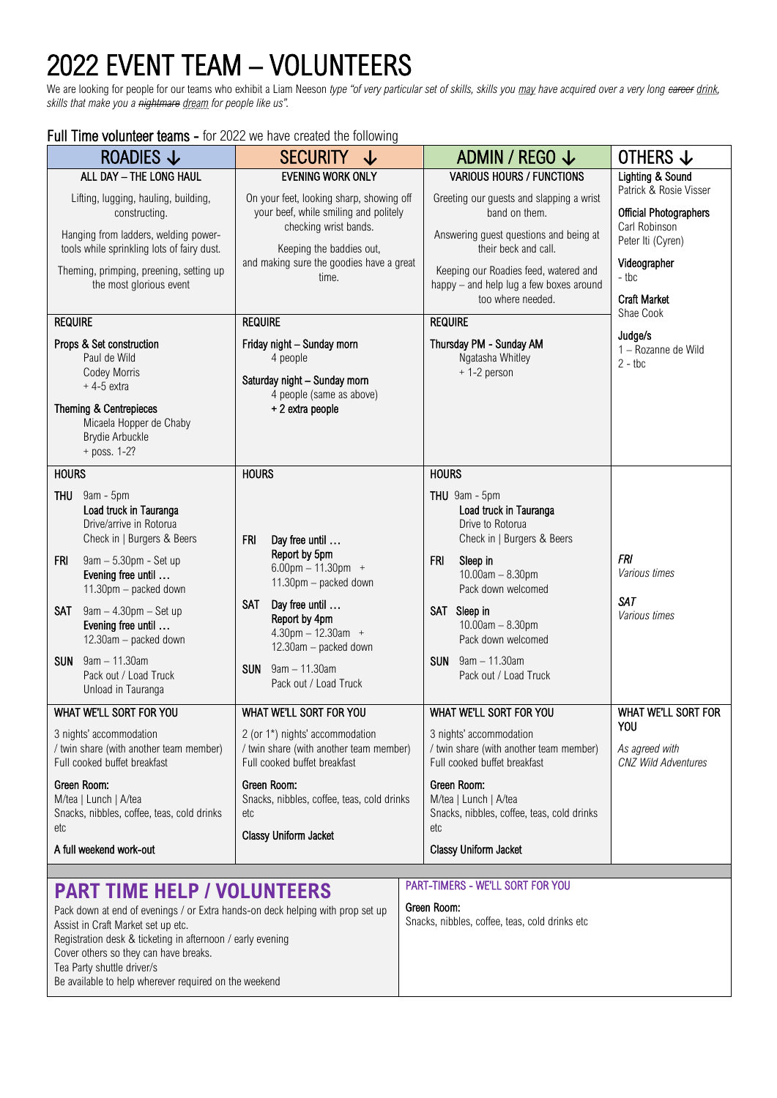## 2022 EVENT TEAM – VOLUNTEERS

We are looking for people for our teams who exhibit a Liam Neeson *type "of very particular set of skills, skills you may have acquired over a very long career drink, skills that make you a nightmare dream for people like us".* 

## Full Time volunteer teams - for 2022 we have created the following

| <b>UIL LITTLE VOIDITIEGT LGATHS</b> - TOT ZUZZ WE HAVE GLEALED THE TUITOWING                                                                                                                                                                                                                                                                                                                                                                                                                |                                                                                                                                                                                                                                                                                                  |                                                                                                                                                                                                                                                                                                     |                                                                                                                                                                   |  |  |
|---------------------------------------------------------------------------------------------------------------------------------------------------------------------------------------------------------------------------------------------------------------------------------------------------------------------------------------------------------------------------------------------------------------------------------------------------------------------------------------------|--------------------------------------------------------------------------------------------------------------------------------------------------------------------------------------------------------------------------------------------------------------------------------------------------|-----------------------------------------------------------------------------------------------------------------------------------------------------------------------------------------------------------------------------------------------------------------------------------------------------|-------------------------------------------------------------------------------------------------------------------------------------------------------------------|--|--|
| ROADIES $\downarrow$                                                                                                                                                                                                                                                                                                                                                                                                                                                                        | <b>SECURITY</b><br>↓                                                                                                                                                                                                                                                                             | ADMIN / REGO $\downarrow$                                                                                                                                                                                                                                                                           | OTHERS ↓                                                                                                                                                          |  |  |
| ALL DAY - THE LONG HAUL<br>Lifting, lugging, hauling, building,<br>constructing.<br>Hanging from ladders, welding power-<br>tools while sprinkling lots of fairy dust.<br>Theming, primping, preening, setting up<br>the most glorious event                                                                                                                                                                                                                                                | <b>EVENING WORK ONLY</b><br>On your feet, looking sharp, showing off<br>your beef, while smiling and politely<br>checking wrist bands.<br>Keeping the baddies out,<br>and making sure the goodies have a great<br>time.                                                                          | <b>VARIOUS HOURS / FUNCTIONS</b><br>Greeting our guests and slapping a wrist<br>band on them.<br>Answering guest questions and being at<br>their beck and call.<br>Keeping our Roadies feed, watered and<br>happy - and help lug a few boxes around<br>too where needed.                            | Lighting & Sound<br>Patrick & Rosie Visser<br><b>Official Photographers</b><br>Carl Robinson<br>Peter Iti (Cyren)<br>Videographer<br>- tbc<br><b>Craft Market</b> |  |  |
| <b>REQUIRE</b><br>Props & Set construction<br>Paul de Wild<br>Codey Morris<br>$+4-5$ extra<br>Theming & Centrepieces<br>Micaela Hopper de Chaby<br><b>Brydie Arbuckle</b><br>+ poss. 1-2?                                                                                                                                                                                                                                                                                                   | <b>REQUIRE</b><br>Friday night - Sunday morn<br>4 people<br>Saturday night - Sunday morn<br>4 people (same as above)<br>+ 2 extra people                                                                                                                                                         | <b>REQUIRE</b><br>Thursday PM - Sunday AM<br>Ngatasha Whitley<br>+1-2 person                                                                                                                                                                                                                        | Shae Cook<br>Judge/s<br>1 - Rozanne de Wild<br>$2 - tbc$                                                                                                          |  |  |
| <b>HOURS</b><br>THU<br>$9$ am - $5$ pm<br>Load truck in Tauranga<br>Drive/arrive in Rotorua<br>Check in   Burgers & Beers<br>9am - 5.30pm - Set up<br>FRI<br>Evening free until<br>11.30pm - packed down<br>9am - 4.30pm - Set up<br>SAT<br>Evening free until<br>12.30am - packed down<br><b>SUN</b><br>$9$ am $-11.30$ am<br>Pack out / Load Truck<br>Unload in Tauranga                                                                                                                  | <b>HOURS</b><br><b>FRI</b><br>Day free until<br>Report by 5pm<br>$6.00$ pm $- 11.30$ pm $+$<br>11.30pm - packed down<br>Day free until<br><b>SAT</b><br>Report by 4pm<br>$4.30 \text{pm} - 12.30 \text{am} +$<br>12.30am - packed down<br>$9am - 11.30am$<br><b>SUN</b><br>Pack out / Load Truck | <b>HOURS</b><br>THU 9am - 5pm<br>Load truck in Tauranga<br>Drive to Rotorua<br>Check in   Burgers & Beers<br><b>FRI</b><br>Sleep in<br>$10.00am - 8.30pm$<br>Pack down welcomed<br>SAT Sleep in<br>$10.00am - 8.30pm$<br>Pack down welcomed<br><b>SUN</b><br>9am - 11.30am<br>Pack out / Load Truck | <b>FRI</b><br>Various times<br><b>SAT</b><br>Various times                                                                                                        |  |  |
| WHAT WE'LL SORT FOR YOU<br>WHAT WE'LL SORT FOR YOU<br>3 nights' accommodation<br>2 (or 1*) nights' accommodation<br>/ twin share (with another team member)<br>/ twin share (with another team member)<br>Full cooked buffet breakfast<br>Full cooked buffet breakfast<br>Green Room:<br>Green Room:<br>M/tea   Lunch   A/tea<br>Snacks, nibbles, coffee, teas, cold drinks<br>Snacks, nibbles, coffee, teas, cold drinks<br>etc<br>etc<br>Classy Uniform Jacket<br>A full weekend work-out |                                                                                                                                                                                                                                                                                                  | WHAT WE'LL SORT FOR YOU<br>3 nights' accommodation<br>/ twin share (with another team member)<br>Full cooked buffet breakfast<br>Green Room:<br>M/tea   Lunch   A/tea<br>Snacks, nibbles, coffee, teas, cold drinks<br>etc<br>Classy Uniform Jacket                                                 | WHAT WE'LL SORT FOR<br>YOU<br>As agreed with<br><b>CNZ Wild Adventures</b>                                                                                        |  |  |
| PART-TIMERS - WE'LL SORT FOR YOU<br><b>PART TIME HELP / VOLUNTEERS</b><br>Green Room:<br>Pack down at end of evenings / or Extra hands-on deck helping with prop set up                                                                                                                                                                                                                                                                                                                     |                                                                                                                                                                                                                                                                                                  |                                                                                                                                                                                                                                                                                                     |                                                                                                                                                                   |  |  |

| $\mathbf{J}$ |                                                |  |  |  |  |  |
|--------------|------------------------------------------------|--|--|--|--|--|
|              | Snacks, nibbles, coffee, teas, cold drinks etc |  |  |  |  |  |

Assist in Craft Market set up etc. Registration desk & ticketing in afternoon / early evening Cover others so they can have breaks. Tea Party shuttle driver/s Be available to help wherever required on the weekend